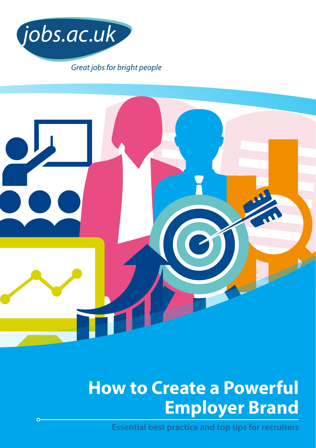



# **How to Create a Powerful Employer Brand**

**Essential best practice and top tips for recruiters**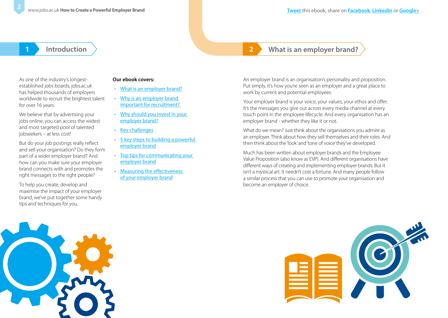## **1 Introduction 2 What is an employer brand?**

As one of the industry's longestestablished jobs boards, jobs.ac.uk has helped thousands of employers worldwide to recruit the brightest talent for over 16 years.

We believe that by advertising your jobs online, you can access the widest and most targeted pool of talented jobseekers – at less cost!

But do your job postings really reflect and sell your organisation? Do they form part of a wider employer brand? And how can you make sure your employer brand connects with and promotes the right messages to the right people?

To help you create, develop and maximise the impact of your employer brand, we've put together some handy tips and techniques for you.

### **Our ebook covers:**

- What is an employer brand?
- [Why is an employer brand](#page-2-0)  [important for recruitment?](#page-2-0)
- Why should you invest in your [employer brand?](#page-2-0)
- [Key challenges](#page-3-0)
- [5 key steps to building a powerful](#page-3-0)  [employer brand](#page-3-0)
- [Top tips for communicating your](#page-5-0)  [employer brand](#page-5-0)
- [Measuring the effectiveness](#page-7-0)  [of your employer brand](#page-7-0)

An employer brand is an organisation's personality and proposition. Put simply, it's how you're seen as an employer and a great place to work by current and potential employees.

Your employer brand is your voice, your values, your ethos and offer. It's the messages you give out across every media channel at every touch point in the employee lifecycle. And every organisation has an employer brand - whether they like it or not.

What do we mean? Just think about the organisations you admire as an employer. Think about how they sell themselves and their roles. And then think about the 'look' and 'tone of voice' they've developed.

Much has been written about employer brands and the Employee Value Proposition (also know as EVP). And different organisations have different ways of creating and implementing employer brands. But it isn't a mystical art. It needn't cost a fortune. And many people follow a similar process that you can use to promote your organisation and become an employer of choice.



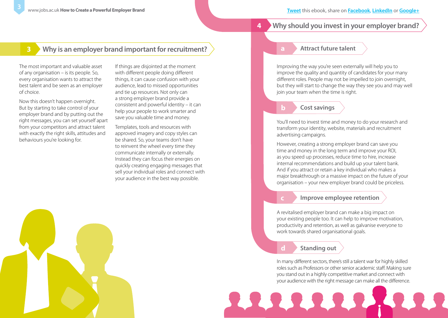## <span id="page-2-0"></span>**3 Why is an employer brand important for recruitment?**

The most important and valuable asset of any organisation – is its people. So, every organisation wants to attract the best talent and be seen as an employer of choice.

Now this doesn't happen overnight. But by starting to take control of your employer brand and by putting out the right messages, you can set yourself apart from your competitors and attract talent with exactly the right skills, attitudes and behaviours you're looking for.

If things are disjointed at the moment with different people doing different things, it can cause confusion with your audience, lead to missed opportunities and tie up resources. Not only can a strong employer brand provide a consistent and powerful identity – it can help your people to work smarter and save you valuable time and money.

Templates, tools and resources with approved imagery and copy styles can be shared. So, your teams don't have to reinvent the wheel every time they communicate internally or externally. Instead they can focus their energies on quickly creating engaging messages that sell your individual roles and connect with your audience in the best way possible.



#### **4 Why should you invest in your employer brand?**

#### **Attract future talent**

Improving the way you're seen externally will help you to improve the quality and quantity of candidates for your many different roles. People may not be impelled to join overnight, but they will start to change the way they see you and may well join your team when the time is right.

#### **b Cost savings**

You'll need to invest time and money to do your research and transform your identity, website, materials and recruitment advertising campaigns.

However, creating a strong employer brand can save you time and money in the long term and improve your ROI, as you speed up processes, reduce time to hire, increase internal recommendations and build up your talent bank. And if you attract or retain a key individual who makes a major breakthrough or a massive impact on the future of your organisation – your new employer brand could be priceless.

#### **c Improve employee retention**

A revitalised employer brand can make a big impact on your existing people too. It can help to improve motivation, productivity and retention, as well as galvanise everyone to work towards shared organisational goals.

#### **d Standing out**

In many different sectors, there's still a talent war for highly skilled roles such as Professors or other senior academic staff. Making sure you stand out in a highly competitive market and connect with your audience with the right message can make all the difference.

2222.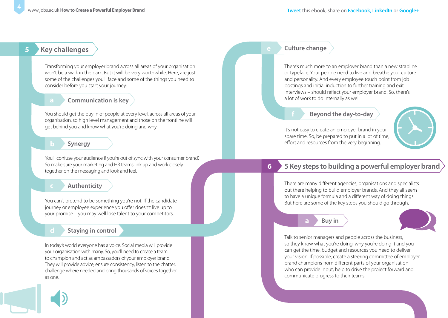## <span id="page-3-0"></span>**5 Key challenges**

Transforming your employer brand across all areas of your organisation won't be a walk in the park. But it will be very worthwhile. Here, are just some of the challenges you'll face and some of the things you need to consider before you start your journey:

#### **Communication is key**

You should get the buy in of people at every level, across all areas of your organisation, so high level management and those on the frontline will get behind you and know what you're doing and why.

#### **Synergy**

You'll confuse your audience if you're out of sync with your 'consumer brand'. So make sure your marketing and HR teams link up and work closely together on the messaging and look and feel.

#### **c Authenticity**

You can't pretend to be something you're not. If the candidate journey or employee experience you offer doesn't live up to your promise – you may well lose talent to your competitors.

## **d Staying in control**

In today's world everyone has a voice. Social media will provide your organisation with many. So, you'll need to create a team to champion and act as ambassadors of your employer brand. They will provide advice, ensure consistency, listen to the chatter, challenge where needed and bring thousands of voices together as one.

#### **e Culture change**

There's much more to an employer brand than a new strapline or typeface. Your people need to live and breathe your culture and personality. And every employee touch point from job postings and initial induction to further training and exit interviews – should reflect your employer brand. So, there's a lot of work to do internally as well.

#### **f Beyond the day-to-day**

It's not easy to create an employer brand in your spare time. So, be prepared to put in a lot of time, effort and resources from the very beginning.



## **6 5 Key steps to building a powerful employer brand**

There are many different agencies, organisations and specialists out there helping to build employer brands. And they all seem to have a unique formula and a different way of doing things. But here are some of the key steps you should go through.

#### **a Buy in**



Talk to senior managers and people across the business, so they know what you're doing, why you're doing it and you can get the time, budget and resources you need to deliver your vision. If possible, create a steering committee of employer brand champions from different parts of your organisation who can provide input, help to drive the project forward and communicate progress to their teams.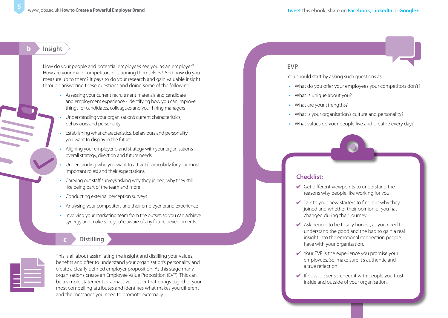#### **b Insight**

How do your people and potential employees see you as an employer? How are your main competitors positioning themselves? And how do you measure up to them? It pays to do your research and gain valuable insight through answering these questions and doing some of the following:

- Assessing your current recruitment materials and candidate and employment experience - identifying how you can improve things for candidates, colleagues and your hiring managers
- Understanding your organisation's current characteristics, behaviours and personality
- Establishing what characteristics, behaviours and personality you want to display in the future
- Aligning your employer brand strategy with your organisation's overall strategy, direction and future needs
- Understanding who you want to attract (particularly for your most important roles) and their expectations
- Carrying out staff surveys asking why they joined, why they still like being part of the team and more
- Conducting external perception surveys
- Analysing your competitors and their employer brand experience
- Involving your marketing team from the outset, so you can achieve synergy and make sure you're aware of any future developments.

#### **c Distilling**



This is all about assimilating the insight and distilling your values, benefits and offer to understand your organisation's personality and create a clearly defined employer proposition. At this stage many organisations create an Employee Value Proposition (EVP). This can be a simple statement or a massive dossier that brings together your most compelling attributes and identifies what makes you different and the messages you need to promote externally.

#### **EVP**

You should start by asking such questions as:

- What do you offer your employees your competitors don't?
- What is unique about you?
- What are your strengths?
- What is your organisation's culture and personality?
- What values do your people live and breathe every day?



#### **Checklist:**

- $\checkmark$  Get different viewpoints to understand the reasons why people like working for you.
- $\vee$  Talk to your new starters to find out why they joined and whether their opinion of you has changed during their journey.
- $\vee$  Ask people to be totally honest, as you need to understand the good and the bad to gain a real insight into the emotional connection people have with your organisation.
- $\vee$  Your EVP is the experience you promise your employees. So, make sure it's authentic and a true reflection.
- $\vee$  If possible sense-check it with people you trust inside and outside of your organisation.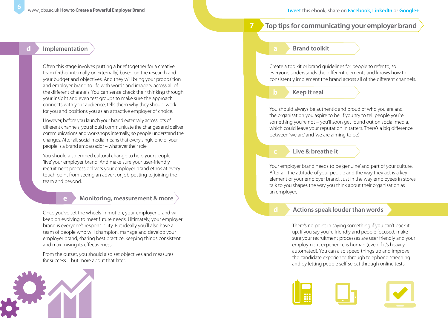#### **Top tips for communicating your employer brand**

#### <span id="page-5-0"></span>**d Implementation**

Often this stage involves putting a brief together for a creative team (either internally or externally) based on the research and your budget and objectives. And they will bring your proposition and employer brand to life with words and imagery across all of the different channels. You can sense check their thinking through your insight and even test groups to make sure the approach connects with your audience, tells them why they should work for you and positions you as an attractive employer of choice.

However, before you launch your brand externally across lots of different channels, you should communicate the changes and deliver communications and workshops internally, so people understand the changes. After all, social media means that every single one of your people is a brand ambassador – whatever their role.

You should also embed cultural change to help your people 'live' your employer brand. And make sure your user-friendly recruitment process delivers your employer brand ethos at every touch point from seeing an advert or job posting to joining the team and beyond.

#### **e Monitoring, measurement & more**

Once you've set the wheels in motion, your employer brand will keep on evolving to meet future needs. Ultimately, your employer brand is everyone's responsibility. But ideally you'll also have a team of people who will champion, manage and develop your employer brand, sharing best practice, keeping things consistent and maximising its effectiveness.

From the outset, you should also set objectives and measures for success – but more about that later.



#### **Brand toolkit**

Create a toolkit or brand guidelines for people to refer to, so everyone understands the different elements and knows how to consistently implement the brand across all of the different channels.

**b Keep it real** 

You should always be authentic and proud of who you are and the organisation you aspire to be. If you try to tell people you're something you're not – you'll soon get found out on social media, which could leave your reputation in tatters. There's a big difference between 'we are' and 'we are aiming to be'.

#### **c Live & breathe it**

Your employer brand needs to be 'genuine' and part of your culture. After all, the attitude of your people and the way they act is a key element of your employer brand. Just in the way employees in stores talk to you shapes the way you think about their organisation as an employer.

#### **d Actions speak louder than words**

There's no point in saying something if you can't back it up. If you say you're friendly and people focused, make sure your recruitment processes are user friendly and your employment experience is human (even if it's heavily automated). You can also speed things up and improve the candidate experience through telephone screening and by letting people self-select through online tests.

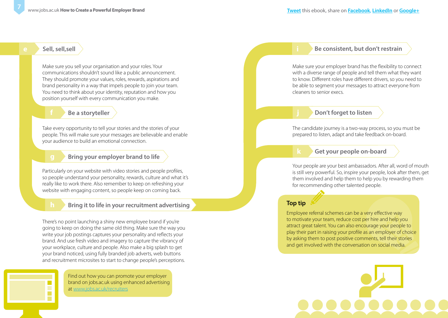#### **e Sell, sell,sell**

Make sure you sell your organisation and your roles. Your communications shouldn't sound like a public announcement. They should promote your values, roles, rewards, aspirations and brand personality in a way that impels people to join your team. You need to think about your identity, reputation and how you position yourself with every communication you make.

#### **f Be a storyteller**

Take every opportunity to tell your stories and the stories of your people. This will make sure your messages are believable and enable your audience to build an emotional connection.

#### **g Bring your employer brand to life**

Particularly on your website with video stories and people profiles, so people understand your personality, rewards, culture and what it's really like to work there. Also remember to keep on refreshing your website with engaging content, so people keep on coming back.

#### **h Bring it to life in your recruitment advertising**

There's no point launching a shiny new employee brand if you're going to keep on doing the same old thing. Make sure the way you write your job postings captures your personality and reflects your brand. And use fresh video and imagery to capture the vibrancy of your workplace, culture and people. Also make a big splash to get your brand noticed, using fully branded job adverts, web buttons and recruitment microsites to start to change people's perceptions.

> Find out how you can promote your employer brand on jobs.ac.uk using enhanced advertising at www.jobs.ac.uk/recruiters

#### **i Be consistent, but don't restrain**

Make sure your employer brand has the flexibility to connect with a diverse range of people and tell them what they want to know. Different roles have different drivers, so you need to be able to segment your messages to attract everyone from cleaners to senior execs.

#### **j Don't forget to listen**

The candidate journey is a two-way process, so you must be prepared to listen, adapt and take feedback on-board.

#### **k Get your people on-board**

Your people are your best ambassadors. After all, word of mouth is still very powerful. So, inspire your people, look after them, get them involved and help them to help you by rewarding them for recommending other talented people.

#### **Top tip**

Employee referral schemes can be a very effective way to motivate your team, reduce cost per hire and help you attract great talent. You can also encourage your people to play their part in raising your profile as an employer of choice by asking them to post positive comments, tell their stories and get involved with the conversation on social media.

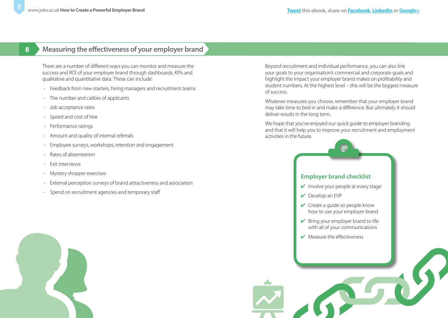### <span id="page-7-0"></span>**8 Measuring the effectiveness of your employer brand**

There are a number of different ways you can monitor and measure the success and ROI of your employer brand through dashboards, KPIs and qualitative and quantitative data. These can include:

- Feedback from new starters, hiring managers and recruitment teams
- The number and calibre of applicants
- Job acceptance rates
- Speed and cost of hire
- Performance ratings
- Amount and quality of internal referrals
- Employee surveys, workshops, retention and engagement
- Rates of absenteeism
- Exit interviews
- Mystery shopper exercises
- External perception surveys of brand attractiveness and association
- Spend on recruitment agencies and temporary staff

Beyond recruitment and individual performance, you can also link your goals to your organisation's commercial and corporate goals and highlight the impact your employer brand makes on profitability and student numbers. At the highest level – this will be the biggest measure of success.

Whatever measures you choose, remember that your employer brand may take time to bed in and make a difference. But ultimately it should deliver results in the long term.

We hope that you've enjoyed our quick quide to employer branding and that it will help you to improve your recruitment and employment activities in the future.

#### **Employer brand checklist**

- $\vee$  Involve your people at every stage
- ✔ Develop an EVP
- $\vee$  Create a guide so people know how to use your employer brand
- $\triangleright$  Bring your employer brand to life with all of your communications
- ✔ Measure the effectiveness